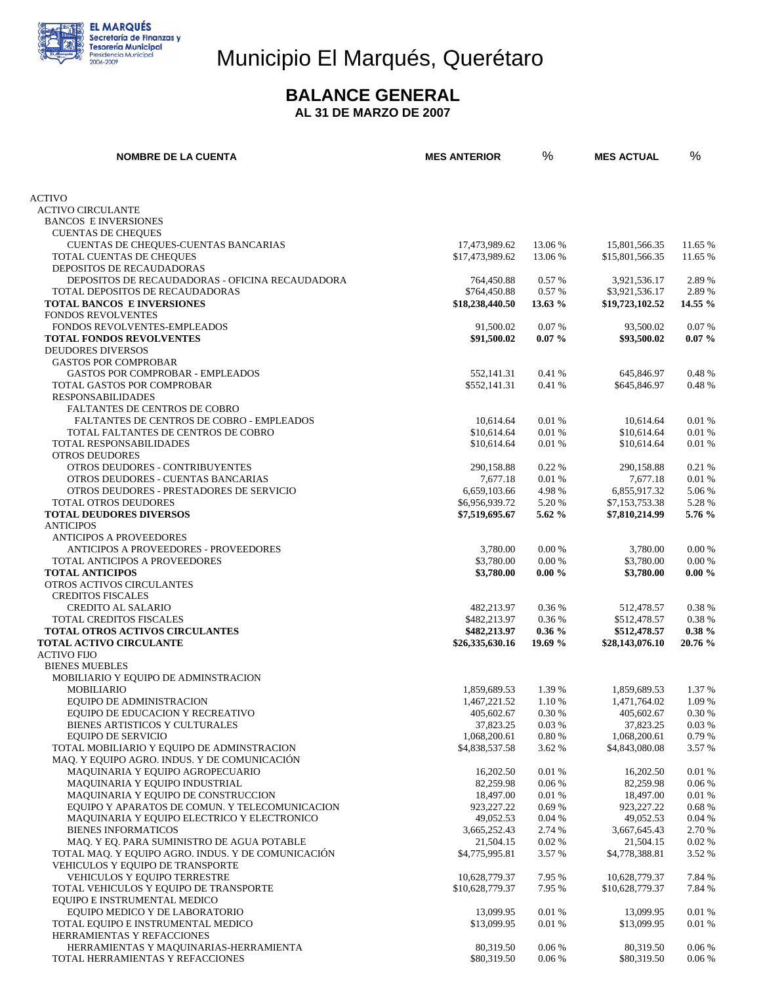

# Municipio El Marqués, Querétaro

#### **BALANCE GENERAL**

**AL 31 DE MARZO DE 2007** 

| <b>NOMBRE DE LA CUENTA</b>                                                       | <b>MES ANTERIOR</b>      | %                | <b>MES ACTUAL</b>        | %               |
|----------------------------------------------------------------------------------|--------------------------|------------------|--------------------------|-----------------|
|                                                                                  |                          |                  |                          |                 |
| <b>ACTIVO</b>                                                                    |                          |                  |                          |                 |
| <b>ACTIVO CIRCULANTE</b><br><b>BANCOS E INVERSIONES</b>                          |                          |                  |                          |                 |
| <b>CUENTAS DE CHEQUES</b>                                                        |                          |                  |                          |                 |
| CUENTAS DE CHEQUES-CUENTAS BANCARIAS                                             | 17,473,989.62            | 13.06 %          | 15,801,566.35            | 11.65 %         |
| TOTAL CUENTAS DE CHEQUES                                                         | \$17,473,989.62          | 13.06 %          | \$15,801,566.35          | 11.65 %         |
| DEPOSITOS DE RECAUDADORAS                                                        |                          |                  |                          |                 |
| DEPOSITOS DE RECAUDADORAS - OFICINA RECAUDADORA                                  | 764,450.88               | 0.57 %           | 3,921,536.17             | 2.89 %          |
| TOTAL DEPOSITOS DE RECAUDADORAS                                                  | \$764,450.88             | 0.57 %           | \$3,921,536.17           | 2.89 %          |
| TOTAL BANCOS E INVERSIONES<br><b>FONDOS REVOLVENTES</b>                          | \$18,238,440.50          | 13.63 %          | \$19,723,102.52          | 14.55 %         |
| FONDOS REVOLVENTES-EMPLEADOS                                                     | 91,500.02                | 0.07%            | 93,500.02                | 0.07%           |
| <b>TOTAL FONDOS REVOLVENTES</b>                                                  | \$91,500.02              | $0.07\%$         | \$93,500.02              | $0.07\%$        |
| <b>DEUDORES DIVERSOS</b>                                                         |                          |                  |                          |                 |
| <b>GASTOS POR COMPROBAR</b>                                                      |                          |                  |                          |                 |
| <b>GASTOS POR COMPROBAR - EMPLEADOS</b>                                          | 552,141.31               | 0.41%            | 645,846.97               | 0.48 %          |
| TOTAL GASTOS POR COMPROBAR                                                       | \$552,141.31             | 0.41 %           | \$645,846.97             | 0.48 %          |
| <b>RESPONSABILIDADES</b>                                                         |                          |                  |                          |                 |
| FALTANTES DE CENTROS DE COBRO                                                    |                          |                  |                          |                 |
| FALTANTES DE CENTROS DE COBRO - EMPLEADOS<br>TOTAL FALTANTES DE CENTROS DE COBRO | 10,614.64<br>\$10,614.64 | 0.01 %<br>0.01 % | 10.614.64<br>\$10,614.64 | 0.01 %<br>0.01% |
| TOTAL RESPONSABILIDADES                                                          | \$10,614.64              | 0.01 %           | \$10,614.64              | 0.01%           |
| <b>OTROS DEUDORES</b>                                                            |                          |                  |                          |                 |
| OTROS DEUDORES - CONTRIBUYENTES                                                  | 290,158.88               | 0.22%            | 290,158.88               | 0.21 %          |
| OTROS DEUDORES - CUENTAS BANCARIAS                                               | 7,677.18                 | 0.01 %           | 7,677.18                 | 0.01%           |
| OTROS DEUDORES - PRESTADORES DE SERVICIO                                         | 6.659.103.66             | 4.98%            | 6,855,917.32             | 5.06 %          |
| TOTAL OTROS DEUDORES                                                             | \$6,956,939.72           | 5.20 %           | \$7,153,753.38           | 5.28 %          |
| <b>TOTAL DEUDORES DIVERSOS</b>                                                   | \$7,519,695.67           | $5.62\%$         | \$7,810,214.99           | 5.76 %          |
| <b>ANTICIPOS</b>                                                                 |                          |                  |                          |                 |
| <b>ANTICIPOS A PROVEEDORES</b>                                                   |                          | 0.00%            |                          | 0.00 %          |
| <b>ANTICIPOS A PROVEEDORES - PROVEEDORES</b><br>TOTAL ANTICIPOS A PROVEEDORES    | 3,780.00<br>\$3,780.00   | 0.00 %           | 3,780.00<br>\$3,780.00   | 0.00 %          |
| <b>TOTAL ANTICIPOS</b>                                                           | \$3,780.00               | $0.00 \%$        | \$3,780.00               | $0.00 \%$       |
| OTROS ACTIVOS CIRCULANTES                                                        |                          |                  |                          |                 |
| <b>CREDITOS FISCALES</b>                                                         |                          |                  |                          |                 |
| <b>CREDITO AL SALARIO</b>                                                        | 482,213.97               | 0.36 %           | 512,478.57               | 0.38 %          |
| TOTAL CREDITOS FISCALES                                                          | \$482,213.97             | 0.36 %           | \$512,478.57             | 0.38 %          |
| <b>TOTAL OTROS ACTIVOS CIRCULANTES</b>                                           | \$482,213.97             | $0.36\%$         | \$512,478.57             | $0.38 \%$       |
| <b>TOTAL ACTIVO CIRCULANTE</b>                                                   | \$26,335,630.16          | 19.69 %          | \$28,143,076.10          | 20.76 %         |
| <b>ACTIVO FIJO</b><br><b>BIENES MUEBLES</b>                                      |                          |                  |                          |                 |
| MOBILIARIO Y EQUIPO DE ADMINSTRACION                                             |                          |                  |                          |                 |
| <b>MOBILIARIO</b>                                                                | 1.859.689.53             | 1.39 %           | 1,859,689.53             | 1.37 %          |
| EQUIPO DE ADMINISTRACION                                                         | 1,467,221.52             | 1.10 %           | 1,471,764.02             | 1.09 %          |
| EQUIPO DE EDUCACION Y RECREATIVO                                                 | 405,602.67               | 0.30 %           | 405,602.67               | 0.30 %          |
| BIENES ARTISTICOS Y CULTURALES                                                   | 37,823.25                | 0.03%            | 37,823.25                | 0.03 %          |
| <b>EQUIPO DE SERVICIO</b>                                                        | 1,068,200.61             | 0.80%            | 1,068,200.61             | 0.79%           |
| TOTAL MOBILIARIO Y EQUIPO DE ADMINSTRACION                                       | \$4,838,537.58           | 3.62 %           | \$4,843,080.08           | 3.57 %          |
| MAQ. Y EQUIPO AGRO. INDUS. Y DE COMUNICACIÓN                                     |                          |                  |                          |                 |
| MAQUINARIA Y EQUIPO AGROPECUARIO<br>MAQUINARIA Y EQUIPO INDUSTRIAL               | 16,202.50<br>82,259.98   | 0.01%<br>0.06%   | 16,202.50<br>82,259.98   | 0.01%<br>0.06%  |
| MAQUINARIA Y EQUIPO DE CONSTRUCCION                                              | 18,497.00                | 0.01%            | 18,497.00                | 0.01%           |
| EQUIPO Y APARATOS DE COMUN. Y TELECOMUNICACION                                   | 923, 227. 22             | 0.69%            | 923,227.22               | 0.68%           |
| MAQUINARIA Y EQUIPO ELECTRICO Y ELECTRONICO                                      | 49,052.53                | 0.04%            | 49,052.53                | 0.04%           |
| <b>BIENES INFORMATICOS</b>                                                       | 3,665,252.43             | 2.74 %           | 3,667,645.43             | 2.70 %          |
| MAQ. Y EQ. PARA SUMINISTRO DE AGUA POTABLE                                       | 21,504.15                | 0.02%            | 21,504.15                | 0.02%           |
| TOTAL MAQ. Y EQUIPO AGRO. INDUS. Y DE COMUNICACIÓN                               | \$4,775,995.81           | 3.57 %           | \$4,778,388.81           | 3.52 %          |
| VEHICULOS Y EQUIPO DE TRANSPORTE                                                 |                          |                  |                          |                 |
| VEHICULOS Y EQUIPO TERRESTRE                                                     | 10,628,779.37            | 7.95 %           | 10,628,779.37            | 7.84 %          |
| TOTAL VEHICULOS Y EQUIPO DE TRANSPORTE                                           | \$10,628,779.37          | 7.95 %           | \$10,628,779.37          | 7.84 %          |
| EQUIPO E INSTRUMENTAL MEDICO<br>EQUIPO MEDICO Y DE LABORATORIO                   | 13,099.95                | 0.01%            | 13,099.95                | 0.01%           |
| TOTAL EQUIPO E INSTRUMENTAL MEDICO                                               | \$13,099.95              | 0.01%            | \$13,099.95              | 0.01%           |
| HERRAMIENTAS Y REFACCIONES                                                       |                          |                  |                          |                 |
| HERRAMIENTAS Y MAQUINARIAS-HERRAMIENTA                                           | 80,319.50                | 0.06%            | 80,319.50                | 0.06%           |
| TOTAL HERRAMIENTAS Y REFACCIONES                                                 | \$80,319.50              | 0.06 %           | \$80,319.50              | 0.06 %          |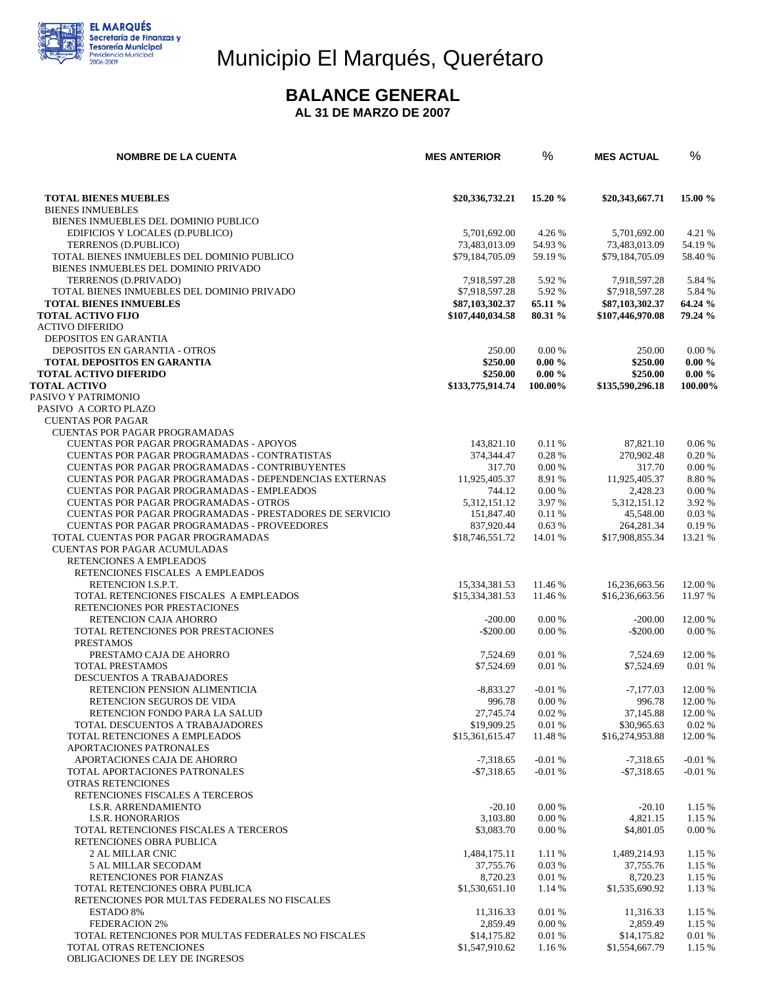

## Municipio El Marqués, Querétaro

#### **BALANCE GENERAL**

**AL 31 DE MARZO DE 2007** 

| <b>NOMBRE DE LA CUENTA</b>                                                                    | <b>MES ANTERIOR</b>               | $\%$                 | <b>MES ACTUAL</b>                 | $\%$                 |
|-----------------------------------------------------------------------------------------------|-----------------------------------|----------------------|-----------------------------------|----------------------|
|                                                                                               |                                   |                      |                                   |                      |
| <b>TOTAL BIENES MUEBLES</b>                                                                   | \$20,336,732.21                   | 15.20 %              | \$20,343,667.71                   | 15.00 %              |
| <b>BIENES INMUEBLES</b>                                                                       |                                   |                      |                                   |                      |
| BIENES INMUEBLES DEL DOMINIO PUBLICO<br>EDIFICIOS Y LOCALES (D.PUBLICO)                       | 5,701,692.00                      | 4.26 %               | 5,701,692.00                      | 4.21 %               |
| TERRENOS (D.PUBLICO)                                                                          | 73,483,013.09                     | 54.93 %              | 73,483,013.09                     | 54.19 %              |
| TOTAL BIENES INMUEBLES DEL DOMINIO PUBLICO                                                    | \$79,184,705.09                   | 59.19 %              | \$79,184,705.09                   | 58.40 %              |
| BIENES INMUEBLES DEL DOMINIO PRIVADO                                                          |                                   |                      |                                   |                      |
| TERRENOS (D.PRIVADO)                                                                          | 7,918,597.28                      | 5.92 %               | 7,918,597.28                      | 5.84 %               |
| TOTAL BIENES INMUEBLES DEL DOMINIO PRIVADO<br><b>TOTAL BIENES INMUEBLES</b>                   | \$7,918,597.28<br>\$87,103,302.37 | 5.92 %<br>65.11 %    | \$7.918.597.28<br>\$87,103,302.37 | 5.84 %<br>64.24 %    |
| <b>TOTAL ACTIVO FIJO</b>                                                                      | \$107,440,034.58                  | 80.31 %              | \$107,446,970.08                  | 79.24 %              |
| <b>ACTIVO DIFERIDO</b>                                                                        |                                   |                      |                                   |                      |
| DEPOSITOS EN GARANTIA                                                                         |                                   |                      |                                   |                      |
| DEPOSITOS EN GARANTIA - OTROS                                                                 | 250.00                            | 0.00%                | 250.00                            | 0.00 %               |
| <b>TOTAL DEPOSITOS EN GARANTIA</b>                                                            | \$250.00                          | $0.00 \%$            | \$250.00                          | $0.00 \%$            |
| <b>TOTAL ACTIVO DIFERIDO</b><br><b>TOTAL ACTIVO</b>                                           | \$250.00<br>\$133,775,914.74      | $0.00 \%$<br>100.00% | \$250.00<br>\$135,590,296.18      | $0.00 \%$<br>100.00% |
| PASIVO Y PATRIMONIO                                                                           |                                   |                      |                                   |                      |
| PASIVO A CORTO PLAZO                                                                          |                                   |                      |                                   |                      |
| <b>CUENTAS POR PAGAR</b>                                                                      |                                   |                      |                                   |                      |
| <b>CUENTAS POR PAGAR PROGRAMADAS</b>                                                          |                                   |                      |                                   |                      |
| <b>CUENTAS POR PAGAR PROGRAMADAS - APOYOS</b><br>CUENTAS POR PAGAR PROGRAMADAS - CONTRATISTAS | 143,821.10<br>374,344.47          | 0.11%<br>0.28%       | 87,821.10<br>270,902.48           | 0.06%<br>0.20%       |
| <b>CUENTAS POR PAGAR PROGRAMADAS - CONTRIBUYENTES</b>                                         | 317.70                            | 0.00 %               | 317.70                            | 0.00 %               |
| CUENTAS POR PAGAR PROGRAMADAS - DEPENDENCIAS EXTERNAS                                         | 11,925,405.37                     | 8.91 %               | 11,925,405.37                     | 8.80%                |
| <b>CUENTAS POR PAGAR PROGRAMADAS - EMPLEADOS</b>                                              | 744.12                            | 0.00 %               | 2,428.23                          | 0.00 %               |
| <b>CUENTAS POR PAGAR PROGRAMADAS - OTROS</b>                                                  | 5,312,151.12                      | 3.97 %               | 5,312,151.12                      | 3.92 %               |
| <b>CUENTAS POR PAGAR PROGRAMADAS - PRESTADORES DE SERVICIO</b>                                | 151,847.40                        | 0.11%                | 45,548.00                         | 0.03%                |
| <b>CUENTAS POR PAGAR PROGRAMADAS - PROVEEDORES</b><br>TOTAL CUENTAS POR PAGAR PROGRAMADAS     | 837,920.44<br>\$18,746,551.72     | 0.63%<br>14.01 %     | 264, 281. 34<br>\$17,908,855.34   | 0.19%<br>13.21 %     |
| <b>CUENTAS POR PAGAR ACUMULADAS</b>                                                           |                                   |                      |                                   |                      |
| RETENCIONES A EMPLEADOS                                                                       |                                   |                      |                                   |                      |
| RETENCIONES FISCALES A EMPLEADOS                                                              |                                   |                      |                                   |                      |
| RETENCION I.S.P.T.                                                                            | 15,334,381.53                     | 11.46 %              | 16,236,663.56                     | 12.00 %              |
| TOTAL RETENCIONES FISCALES A EMPLEADOS                                                        | \$15,334,381.53                   | 11.46 %              | \$16,236,663.56                   | 11.97 %              |
| RETENCIONES POR PRESTACIONES<br>RETENCION CAJA AHORRO                                         | $-200.00$                         | 0.00 %               | $-200.00$                         | 12.00 %              |
| TOTAL RETENCIONES POR PRESTACIONES                                                            | $-$ \$200.00                      | 0.00%                | $-$ \$200.00                      | 0.00 %               |
| <b>PRESTAMOS</b>                                                                              |                                   |                      |                                   |                      |
| PRESTAMO CAJA DE AHORRO                                                                       | 7,524.69                          | 0.01%                | 7.524.69                          | 12.00 %              |
| TOTAL PRESTAMOS                                                                               | \$7,524.69                        | 0.01%                | \$7,524.69                        | 0.01%                |
| DESCUENTOS A TRABAJADORES<br>RETENCION PENSION ALIMENTICIA                                    | $-8,833.27$                       | $-0.01%$             | $-7,177.03$                       | 12.00 %              |
| RETENCION SEGUROS DE VIDA                                                                     | 996.78                            | 0.00 %               | 996.78                            | 12.00 %              |
| RETENCION FONDO PARA LA SALUD                                                                 | 27,745.74                         | 0.02%                | 37,145.88                         | 12.00 %              |
| TOTAL DESCUENTOS A TRABAJADORES                                                               | \$19,909.25                       | 0.01%                | \$30,965.63                       | 0.02 %               |
| TOTAL RETENCIONES A EMPLEADOS                                                                 | \$15,361,615.47                   | 11.48 %              | \$16,274,953.88                   | 12.00 %              |
| APORTACIONES PATRONALES                                                                       |                                   |                      | $-7.318.65$                       |                      |
| APORTACIONES CAJA DE AHORRO<br>TOTAL APORTACIONES PATRONALES                                  | $-7,318.65$<br>$-$7,318.65$       | $-0.01%$<br>$-0.01%$ | $-$ \$7,318.65                    | $-0.01%$<br>$-0.01%$ |
| OTRAS RETENCIONES                                                                             |                                   |                      |                                   |                      |
| RETENCIONES FISCALES A TERCEROS                                                               |                                   |                      |                                   |                      |
| <b>I.S.R. ARRENDAMIENTO</b>                                                                   | $-20.10$                          | 0.00 %               | $-20.10$                          | 1.15 %               |
| <b>I.S.R. HONORARIOS</b>                                                                      | 3,103.80                          | 0.00 %               | 4,821.15                          | 1.15 %               |
| TOTAL RETENCIONES FISCALES A TERCEROS<br>RETENCIONES OBRA PUBLICA                             | \$3,083.70                        | 0.00 %               | \$4,801.05                        | 0.00 %               |
| 2 AL MILLAR CNIC                                                                              | 1,484,175.11                      | 1.11 %               | 1,489,214.93                      | 1.15 %               |
| 5 AL MILLAR SECODAM                                                                           | 37,755.76                         | 0.03%                | 37,755.76                         | 1.15 %               |
| RETENCIONES POR FIANZAS                                                                       | 8,720.23                          | 0.01%                | 8,720.23                          | 1.15 %               |
| TOTAL RETENCIONES OBRA PUBLICA                                                                | \$1,530,651.10                    | 1.14 %               | \$1,535,690.92                    | 1.13 %               |
| RETENCIONES POR MULTAS FEDERALES NO FISCALES                                                  |                                   |                      |                                   |                      |
| <b>ESTADO 8%</b><br><b>FEDERACION 2%</b>                                                      | 11,316.33<br>2,859.49             | 0.01%<br>0.00 %      | 11,316.33<br>2,859.49             | 1.15 %<br>1.15 %     |
| TOTAL RETENCIONES POR MULTAS FEDERALES NO FISCALES                                            | \$14,175.82                       | 0.01%                | \$14,175.82                       | 0.01%                |
| TOTAL OTRAS RETENCIONES                                                                       | \$1,547,910.62                    | 1.16 %               | \$1,554,667.79                    | 1.15 %               |
| OBLIGACIONES DE LEY DE INGRESOS                                                               |                                   |                      |                                   |                      |